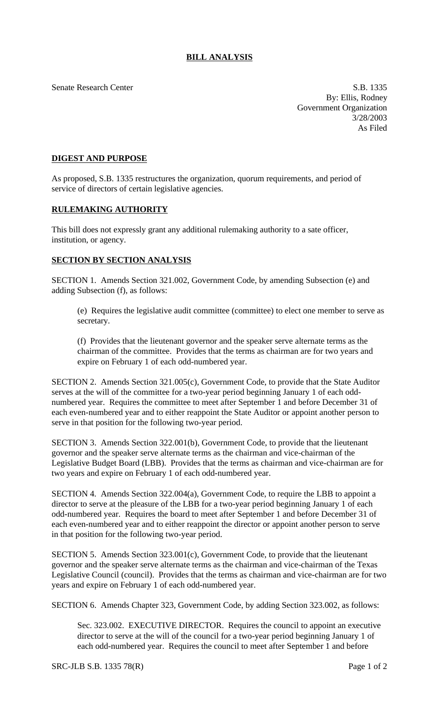Senate Research Center S.B. 1335

By: Ellis, Rodney Government Organization 3/28/2003 As Filed

## **DIGEST AND PURPOSE**

As proposed, S.B. 1335 restructures the organization, quorum requirements, and period of service of directors of certain legislative agencies.

## **RULEMAKING AUTHORITY**

This bill does not expressly grant any additional rulemaking authority to a sate officer, institution, or agency.

## **SECTION BY SECTION ANALYSIS**

SECTION 1. Amends Section 321.002, Government Code, by amending Subsection (e) and adding Subsection (f), as follows:

(e) Requires the legislative audit committee (committee) to elect one member to serve as secretary.

(f) Provides that the lieutenant governor and the speaker serve alternate terms as the chairman of the committee. Provides that the terms as chairman are for two years and expire on February 1 of each odd-numbered year.

SECTION 2. Amends Section 321.005(c), Government Code, to provide that the State Auditor serves at the will of the committee for a two-year period beginning January 1 of each oddnumbered year. Requires the committee to meet after September 1 and before December 31 of each even-numbered year and to either reappoint the State Auditor or appoint another person to serve in that position for the following two-year period.

SECTION 3. Amends Section 322.001(b), Government Code, to provide that the lieutenant governor and the speaker serve alternate terms as the chairman and vice-chairman of the Legislative Budget Board (LBB). Provides that the terms as chairman and vice-chairman are for two years and expire on February 1 of each odd-numbered year.

SECTION 4. Amends Section 322.004(a), Government Code, to require the LBB to appoint a director to serve at the pleasure of the LBB for a two-year period beginning January 1 of each odd-numbered year. Requires the board to meet after September 1 and before December 31 of each even-numbered year and to either reappoint the director or appoint another person to serve in that position for the following two-year period.

SECTION 5. Amends Section 323.001(c), Government Code, to provide that the lieutenant governor and the speaker serve alternate terms as the chairman and vice-chairman of the Texas Legislative Council (council). Provides that the terms as chairman and vice-chairman are for two years and expire on February 1 of each odd-numbered year.

SECTION 6. Amends Chapter 323, Government Code, by adding Section 323.002, as follows:

Sec. 323.002. EXECUTIVE DIRECTOR. Requires the council to appoint an executive director to serve at the will of the council for a two-year period beginning January 1 of each odd-numbered year. Requires the council to meet after September 1 and before